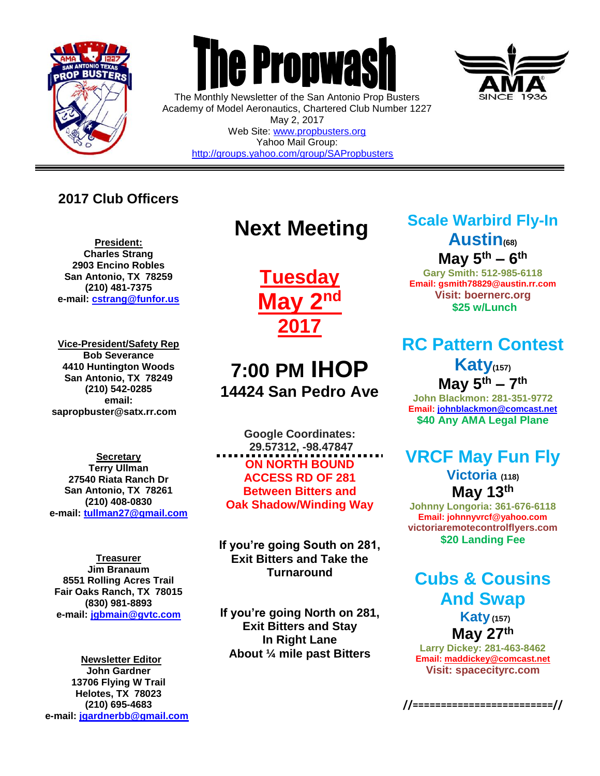

 $\overline{a}$ 



The Monthly Newsletter of the San Antonio Prop Busters Academy of Model Aeronautics, Chartered Club Number 1227 May 2, 2017 Web Site: [www.propbusters.org](http://www.propbusters.org/) Yahoo Mail Group: <http://groups.yahoo.com/group/SAPropbusters>

**2017 Club Officers**

**President: Charles Strang 2903 Encino Robles San Antonio, TX 78259 (210) 481-7375 e-mail: [cstrang@funfor.us](mailto:cstrang@funfor.us)**

**Vice-President/Safety Rep Bob Severance 4410 Huntington Woods San Antonio, TX 78249 (210) 542-0285 email: sapropbuster@satx.rr.com**

**Secretary Terry Ullman 27540 Riata Ranch Dr San Antonio, TX 78261 (210) 408-0830 e-mail: [tullman27@gmail.com](mailto:tullman27@gmail.com)**

**Treasurer Jim Branaum 8551 Rolling Acres Trail Fair Oaks Ranch, TX 78015 (830) 981-8893 e-mail: [jgbmain@gvtc.com](mailto:jgbmain@gvtc.com)**

**Newsletter Editor John Gardner 13706 Flying W Trail Helotes, TX 78023 (210) 695-4683 e-mail: [jgardnerbb@gmail.com](mailto:jgardnerbb@gmail.com)**

# **Next Meeting**

**Tuesday May 2nd 2017**

## **7:00 PM IHOP 14424 San Pedro Ave**

**Google Coordinates: 29.57312, -98.47847 ON NORTH BOUND ACCESS RD OF 281 Between Bitters and Oak Shadow/Winding Way**

**If you're going South on 281, Exit Bitters and Take the Turnaround**

**If you're going North on 281, Exit Bitters and Stay In Right Lane About ¼ mile past Bitters**

## **Scale Warbird Fly-In Austin(68)**

**May 5th – 6 th**

**Gary Smith: 512-985-6118 Email: gsmith78829@austin.rr.com Visit: boernerc.org \$25 w/Lunch**

## **RC Pattern Contest**

**Katy(157) May 5th – 7 th John Blackmon: 281-351-9772 Email[: johnblackmon@comcast.net](mailto:johnblackmon@comcast.net)**

**\$40 Any AMA Legal Plane**

### **VRCF May Fun Fly**

**Victoria (118) May 13th**

**Johnny Longoria: 361-676-6118 Email: johnnyvrcf@yahoo.com victoriaremotecontrolflyers.com \$20 Landing Fee**

### **Cubs & Cousins And Swap**

**Katy(157) May 27th**

**Larry Dickey: 281-463-8462 Email[: maddickey@comcast.net](mailto:maddickey@comcast.net) Visit: spacecityrc.com**

**//=========================//**

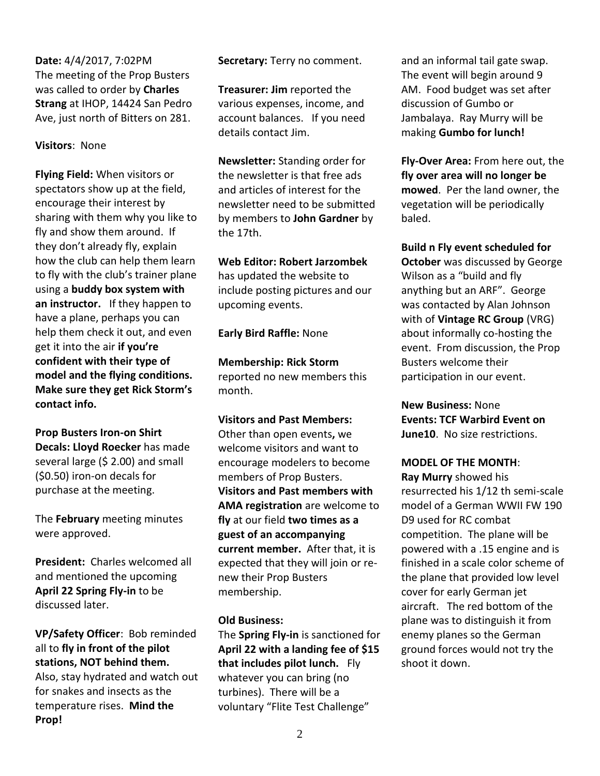**Date:** 4/4/2017, 7:02PM The meeting of the Prop Busters was called to order by **Charles Strang** at IHOP, 14424 San Pedro Ave, just north of Bitters on 281.

#### **Visitors**: None

**Flying Field:** When visitors or spectators show up at the field, encourage their interest by sharing with them why you like to fly and show them around. If they don't already fly, explain how the club can help them learn to fly with the club's trainer plane using a **buddy box system with an instructor.** If they happen to have a plane, perhaps you can help them check it out, and even get it into the air **if you're confident with their type of model and the flying conditions. Make sure they get Rick Storm's contact info.** 

**Prop Busters Iron-on Shirt Decals: Lloyd Roecker** has made several large (\$ 2.00) and small (\$0.50) iron-on decals for purchase at the meeting.

The **February** meeting minutes were approved.

**President:** Charles welcomed all and mentioned the upcoming **April 22 Spring Fly-in** to be discussed later.

**VP/Safety Officer**: Bob reminded all to **fly in front of the pilot stations, NOT behind them.**  Also, stay hydrated and watch out for snakes and insects as the temperature rises. **Mind the Prop!**

**Secretary:** Terry no comment.

**Treasurer: Jim** reported the various expenses, income, and account balances. If you need details contact Jim.

**Newsletter:** Standing order for the newsletter is that free ads and articles of interest for the newsletter need to be submitted by members to **John Gardner** by the 17th.

**Web Editor: Robert Jarzombek** 

has updated the website to include posting pictures and our upcoming events.

**Early Bird Raffle:** None

**Membership: Rick Storm** reported no new members this month.

**Visitors and Past Members:** 

Other than open events**,** we welcome visitors and want to encourage modelers to become members of Prop Busters. **Visitors and Past members with AMA registration** are welcome to **fly** at our field **two times as a guest of an accompanying current member.** After that, it is expected that they will join or renew their Prop Busters membership.

#### **Old Business:**

The **Spring Fly-in** is sanctioned for **April 22 with a landing fee of \$15 that includes pilot lunch.** Fly whatever you can bring (no turbines). There will be a voluntary "Flite Test Challenge"

and an informal tail gate swap. The event will begin around 9 AM. Food budget was set after discussion of Gumbo or Jambalaya. Ray Murry will be making **Gumbo for lunch!**

**Fly-Over Area:** From here out, the **fly over area will no longer be mowed**. Per the land owner, the vegetation will be periodically baled.

**Build n Fly event scheduled for October** was discussed by George Wilson as a "build and fly anything but an ARF". George was contacted by Alan Johnson with of **Vintage RC Group** (VRG) about informally co-hosting the event. From discussion, the Prop Busters welcome their participation in our event.

**New Business:** None **Events: TCF Warbird Event on June10**. No size restrictions.

**MODEL OF THE MONTH**:

**Ray Murry** showed his resurrected his 1/12 th semi-scale model of a German WWII FW 190 D9 used for RC combat competition. The plane will be powered with a .15 engine and is finished in a scale color scheme of the plane that provided low level cover for early German jet aircraft. The red bottom of the plane was to distinguish it from enemy planes so the German ground forces would not try the shoot it down.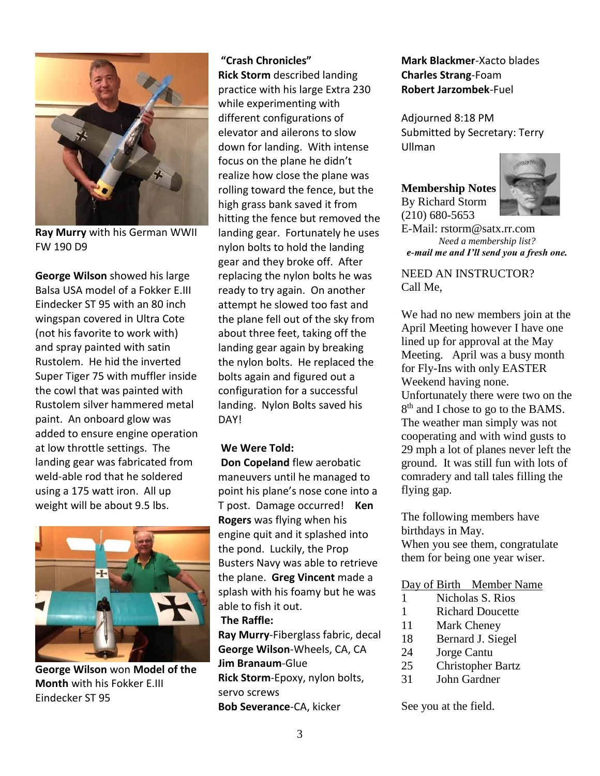

**Ray Murry** with his German WWII FW 190 D9

**George Wilson** showed his large Balsa USA model of a Fokker E.III Eindecker ST 95 with an 80 inch wingspan covered in Ultra Cote (not his favorite to work with) and spray painted with satin Rustolem. He hid the inverted Super Tiger 75 with muffler inside the cowl that was painted with Rustolem silver hammered metal paint. An onboard glow was added to ensure engine operation at low throttle settings. The landing gear was fabricated from weld-able rod that he soldered using a 175 watt iron. All up weight will be about 9.5 lbs.



**George Wilson** won **Model of the Month** with his Fokker E.III Eindecker ST 95

#### **"Crash Chronicles"**

**Rick Storm** described landing practice with his large Extra 230 while experimenting with different configurations of elevator and ailerons to slow down for landing. With intense focus on the plane he didn't realize how close the plane was rolling toward the fence, but the high grass bank saved it from hitting the fence but removed the landing gear. Fortunately he uses nylon bolts to hold the landing gear and they broke off. After replacing the nylon bolts he was ready to try again. On another attempt he slowed too fast and the plane fell out of the sky from about three feet, taking off the landing gear again by breaking the nylon bolts. He replaced the bolts again and figured out a configuration for a successful landing. Nylon Bolts saved his DAY!

#### **We Were Told:**

**Don Copeland** flew aerobatic maneuvers until he managed to point his plane's nose cone into a T post. Damage occurred! **Ken Rogers** was flying when his engine quit and it splashed into the pond. Luckily, the Prop Busters Navy was able to retrieve the plane. **Greg Vincent** made a splash with his foamy but he was able to fish it out.

#### **The Raffle:**

**Ray Murry**-Fiberglass fabric, decal **George Wilson**-Wheels, CA, CA **Jim Branaum**-Glue **Rick Storm**-Epoxy, nylon bolts, servo screws **Bob Severance**-CA, kicker

#### **Mark Blackmer**-Xacto blades **Charles Strang**-Foam **Robert Jarzombek**-Fuel

Adjourned 8:18 PM Submitted by Secretary: Terry Ullman

**Membership Notes** By Richard Storm (210) 680-5653



E-Mail: rstorm@satx.rr.com *Need a membership list? e-mail me and I'll send you a fresh one.*

#### NEED AN INSTRUCTOR? Call Me,

We had no new members join at the April Meeting however I have one lined up for approval at the May Meeting. April was a busy month for Fly-Ins with only EASTER Weekend having none. Unfortunately there were two on the 8<sup>th</sup> and I chose to go to the BAMS. The weather man simply was not cooperating and with wind gusts to 29 mph a lot of planes never left the ground. It was still fun with lots of comradery and tall tales filling the flying gap.

The following members have birthdays in May. When you see them, congratulate them for being one year wiser.

#### Day of Birth Member Name

- 1 Nicholas S. Rios
- 1 Richard Doucette
- 11 Mark Cheney
- 18 Bernard J. Siegel
- 24 Jorge Cantu
- 25 Christopher Bartz
- 31 John Gardner

See you at the field.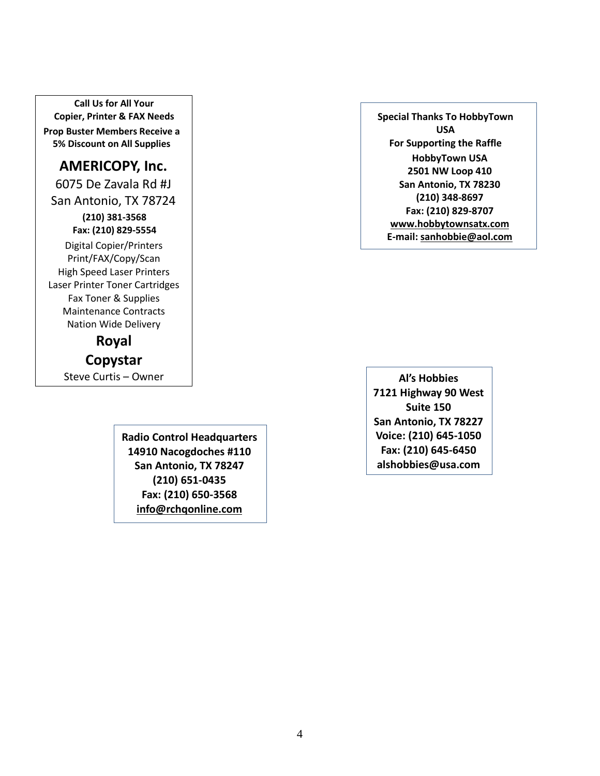**Call Us for All Your Copier, Printer & FAX Needs Prop Buster Members Receive a 5% Discount on All Supplies**

#### **AMERICOPY, Inc.**

6075 De Zavala Rd #J San Antonio, TX 78724

> **(210) 381-3568 Fax: (210) 829-5554** Digital Copier/Printers

Print/FAX/Copy/Scan High Speed Laser Printers Laser Printer Toner Cartridges Fax Toner & Supplies Maintenance Contracts Nation Wide Delivery

**Royal**

**Copystar** Steve Curtis – Owner

> **Radio Control Headquarters 14910 Nacogdoches #110 San Antonio, TX 78247 (210) 651-0435 Fax: (210) 650-3568 [info@rchqonline.com](mailto:info@rchqonline.com)**

**Special Thanks To HobbyTown USA For Supporting the Raffle HobbyTown USA 2501 NW Loop 410 San Antonio, TX 78230 (210) 348-8697 Fax: (210) 829-8707 [www.hobbytownsatx.com](http://www.hobbytownsatx.com/) E-mail: [sanhobbie@aol.com](mailto:sanhobbie@aol.com)**

**Al's Hobbies 7121 Highway 90 West Suite 150 San Antonio, TX 78227 Voice: (210) 645-1050 Fax: (210) 645-6450 alshobbies@usa.com**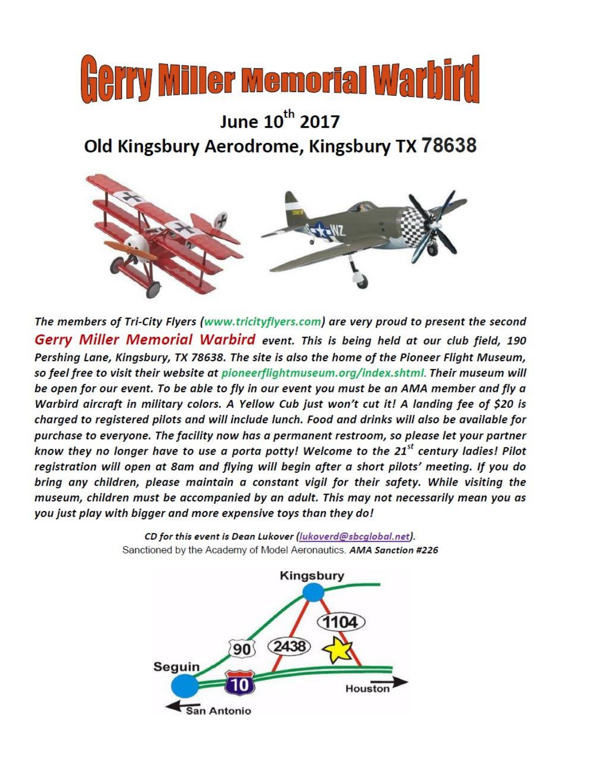

# June 10<sup>th</sup> 2017 Old Kingsbury Aerodrome, Kingsbury TX 78638



The members of Tri-City Flyers (www.tricityflyers.com) are very proud to present the second Gerry Miller Memorial Warbird event. This is being held at our club field, 190 Pershing Lane, Kingsbury, TX 78638. The site is also the home of the Pioneer Flight Museum, so feel free to visit their website at pioneerflightmuseum.org/index.shtml. Their museum will be open for our event. To be able to fly in our event you must be an AMA member and fly a Warbird aircraft in military colors. A Yellow Cub just won't cut it! A landing fee of \$20 is charged to registered pilots and will include lunch. Food and drinks will also be available for purchase to everyone. The facility now has a permanent restroom, so please let your partner know they no longer have to use a porta potty! Welcome to the 21<sup>st</sup> century ladies! Pilot registration will open at 8am and flying will begin after a short pilots' meeting. If you do bring any children, please maintain a constant vigil for their safety. While visiting the museum, children must be accompanied by an adult. This may not necessarily mean you as you just play with bigger and more expensive toys than they do!

> CD for this event is Dean Lukover (lukoverd@sbcglobal.net). Sanctioned by the Academy of Model Aeronautics. AMA Sanction #226